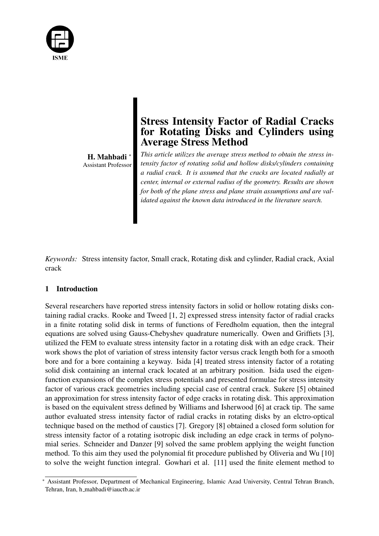

H. Mahbadi *<sup>∗</sup>* Assistant Professor

# Stress Intensity Factor of Radial Cracks for Rotating Disks and Cylinders using Average Stress Method

*This article utilizes the average stress method to obtain the stress intensity factor of rotating solid and hollow disks/cylinders containing a radial crack. It is assumed that the cracks are located radially at center, internal or external radius of the geometry. Results are shown for both of the plane stress and plane strain assumptions and are validated against the known data introduced in the literature search.*

*Keywords:* Stress intensity factor, Small crack, Rotating disk and cylinder, Radial crack, Axial crack

## 1 Introduction

Several researchers have reported stress intensity factors in solid or hollow rotating disks containing radial cracks. Rooke and Tweed [1, 2] expressed stress intensity factor of radial cracks in a finite rotating solid disk in terms of functions of Feredholm equation, then the integral equations are solved using Gauss-Chebyshev quadrature numerically. Owen and Griffiets [3], utilized the FEM to evaluate stress intensity factor in a rotating disk with an edge crack. Their work shows the plot of variation of stress intensity factor versus crack length both for a smooth bore and for a bore containing a keyway. Isida [4] treated stress intensity factor of a rotating solid disk containing an internal crack located at an arbitrary position. Isida used the eigenfunction expansions of the complex stress potentials and presented formulae for stress intensity factor of various crack geometries including special case of central crack. Sukere [5] obtained an approximation for stress intensity factor of edge cracks in rotating disk. This approximation is based on the equivalent stress defined by Williams and Isherwood [6] at crack tip. The same author evaluated stress intensity factor of radial cracks in rotating disks by an elctro-optical technique based on the method of caustics [7]. Gregory [8] obtained a closed form solution for stress intensity factor of a rotating isotropic disk including an edge crack in terms of polynomial series. Schneider and Danzer [9] solved the same problem applying the weight function method. To this aim they used the polynomial fit procedure published by Oliveria and Wu [10] to solve the weight function integral. Gowhari et al. [11] used the finite element method to

*<sup>∗</sup>* Assistant Professor, Department of Mechanical Engineering, Islamic Azad University, Central Tehran Branch, Tehran, Iran, h\_mahbadi@iauctb.ac.ir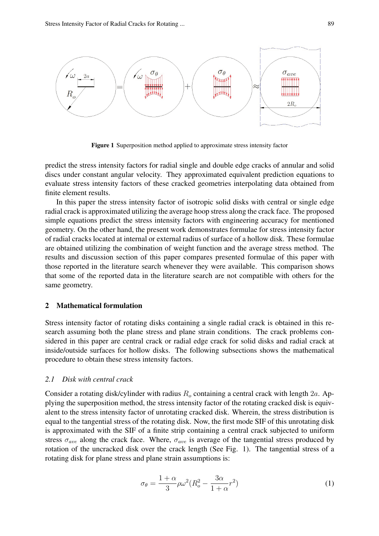

Figure 1 Superposition method applied to approximate stress intensity factor

predict the stress intensity factors for radial single and double edge cracks of annular and solid discs under constant angular velocity. They approximated equivalent prediction equations to evaluate stress intensity factors of these cracked geometries interpolating data obtained from finite element results.

In this paper the stress intensity factor of isotropic solid disks with central or single edge radial crack is approximated utilizing the average hoop stress along the crack face. The proposed simple equations predict the stress intensity factors with engineering accuracy for mentioned geometry. On the other hand, the present work demonstrates formulae for stress intensity factor of radial cracks located at internal or external radius of surface of a hollow disk. These formulae are obtained utilizing the combination of weight function and the average stress method. The results and discussion section of this paper compares presented formulae of this paper with those reported in the literature search whenever they were available. This comparison shows that some of the reported data in the literature search are not compatible with others for the same geometry.

#### 2 Mathematical formulation

Stress intensity factor of rotating disks containing a single radial crack is obtained in this research assuming both the plane stress and plane strain conditions. The crack problems considered in this paper are central crack or radial edge crack for solid disks and radial crack at inside/outside surfaces for hollow disks. The following subsections shows the mathematical procedure to obtain these stress intensity factors.

#### *2.1 Disk with central crack*

Consider a rotating disk/cylinder with radius *R<sup>o</sup>* containing a central crack with length 2*a*. Applying the superposition method, the stress intensity factor of the rotating cracked disk is equivalent to the stress intensity factor of unrotating cracked disk. Wherein, the stress distribution is equal to the tangential stress of the rotating disk. Now, the first mode SIF of this unrotating disk is approximated with the SIF of a finite strip containing a central crack subjected to uniform stress  $\sigma_{ave}$  along the crack face. Where,  $\sigma_{ave}$  is average of the tangential stress produced by rotation of the uncracked disk over the crack length (See Fig. 1). The tangential stress of a rotating disk for plane stress and plane strain assumptions is:

$$
\sigma_{\theta} = \frac{1+\alpha}{3}\rho\omega^2(R_o^2 - \frac{3\alpha}{1+\alpha}r^2)
$$
 (1)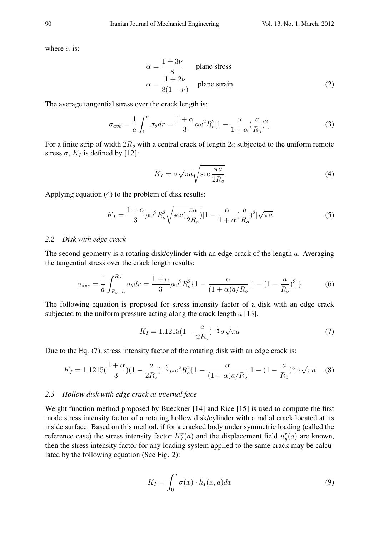where  $\alpha$  is:

$$
\alpha = \frac{1+3\nu}{8} \quad \text{plane stress}
$$
  

$$
\alpha = \frac{1+2\nu}{8(1-\nu)} \quad \text{plane strain}
$$
 (2)

The average tangential stress over the crack length is:

$$
\sigma_{ave} = \frac{1}{a} \int_0^a \sigma_\theta dr = \frac{1+\alpha}{3} \rho \omega^2 R_o^2 [1 - \frac{\alpha}{1+\alpha} (\frac{a}{R_o})^2]
$$
(3)

For a finite strip of width 2*R<sup>o</sup>* with a central crack of length 2*a* subjected to the uniform remote stress  $\sigma$ ,  $K_I$  is defined by [12]:

$$
K_I = \sigma \sqrt{\pi a} \sqrt{\sec \frac{\pi a}{2R_o}}
$$
 (4)

Applying equation (4) to the problem of disk results:

$$
K_I = \frac{1+\alpha}{3}\rho\omega^2 R_o^2 \sqrt{\sec(\frac{\pi a}{2R_o})} \left[1 - \frac{\alpha}{1+\alpha}(\frac{a}{R_o})^2\right] \sqrt{\pi a}
$$
 (5)

#### *2.2 Disk with edge crack*

The second geometry is a rotating disk/cylinder with an edge crack of the length *a*. Averaging the tangential stress over the crack length results:

$$
\sigma_{ave} = \frac{1}{a} \int_{R_o - a}^{R_o} \sigma_{\theta} dr = \frac{1 + \alpha}{3} \rho \omega^2 R_o^2 \{ 1 - \frac{\alpha}{(1 + \alpha)a/R_o} [1 - (1 - \frac{a}{R_o})^3] \}
$$
(6)

The following equation is proposed for stress intensity factor of a disk with an edge crack subjected to the uniform pressure acting along the crack length *a* [13].

$$
K_I = 1.1215(1 - \frac{a}{2R_o})^{-\frac{3}{2}} \sigma \sqrt{\pi a}
$$
\n(7)

Due to the Eq. (7), stress intensity factor of the rotating disk with an edge crack is:

$$
K_I = 1.1215 \left(\frac{1+\alpha}{3}\right) \left(1 - \frac{a}{2R_o}\right)^{-\frac{3}{2}} \rho \omega^2 R_o^2 \left\{1 - \frac{\alpha}{(1+\alpha)a/R_o} \left[1 - \left(1 - \frac{a}{R_o}\right)^3\right]\right\} \sqrt{\pi a} \tag{8}
$$

#### *2.3 Hollow disk with edge crack at internal face*

Weight function method proposed by Bueckner [14] and Rice [15] is used to compute the first mode stress intensity factor of a rotating hollow disk/cylinder with a radial crack located at its inside surface. Based on this method, if for a cracked body under symmetric loading (called the reference case) the stress intensity factor  $K_I^r(a)$  and the displacement field  $u_y^r(a)$  are known, then the stress intensity factor for any loading system applied to the same crack may be calculated by the following equation (See Fig. 2):

$$
K_I = \int_0^a \sigma(x) \cdot h_I(x, a) dx \tag{9}
$$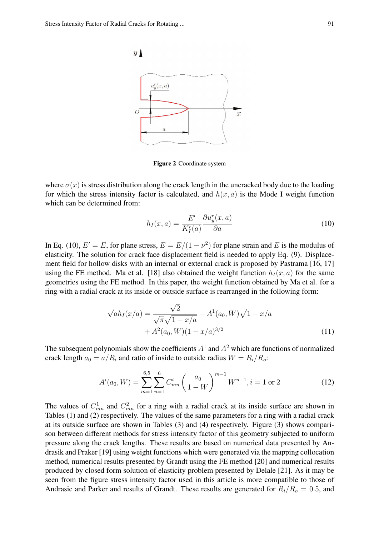

Figure 2 Coordinate system

where  $\sigma(x)$  is stress distribution along the crack length in the uncracked body due to the loading for which the stress intensity factor is calculated, and  $h(x, a)$  is the Mode I weight function which can be determined from:

$$
h_I(x,a) = \frac{E'}{K_I^r(a)} \frac{\partial u_y^r(x,a)}{\partial a}
$$
\n(10)

In Eq. (10),  $E' = E$ , for plane stress,  $E = E/(1 - \nu^2)$  for plane strain and *E* is the modulus of elasticity. The solution for crack face displacement field is needed to apply Eq. (9). Displacement field for hollow disks with an internal or external crack is proposed by Pastrama [16, 17] using the FE method. Ma et al. [18] also obtained the weight function  $h_I(x, a)$  for the same geometries using the FE method. In this paper, the weight function obtained by Ma et al. for a ring with a radial crack at its inside or outside surface is rearranged in the following form:

$$
\sqrt{a}h_I(x/a) = \frac{\sqrt{2}}{\sqrt{\pi}\sqrt{1-x/a}} + A^1(a_0, W)\sqrt{1-x/a} + A^2(a_0, W)(1-x/a)^{3/2}
$$
\n(11)

The subsequent polynomials show the coefficients  $A<sup>1</sup>$  and  $A<sup>2</sup>$  which are functions of normalized crack length  $a_0 = a/R_i$  and ratio of inside to outside radius  $W = R_i/R_o$ :

$$
A^{i}(a_0, W) = \sum_{m=1}^{6,5} \sum_{n=1}^{6} C^{i}_{mn} \left(\frac{a_0}{1 - W}\right)^{m-1} W^{n-1}, i = 1 \text{ or } 2
$$
 (12)

The values of  $C_{mn}^1$  and  $C_{mn}^2$  for a ring with a radial crack at its inside surface are shown in Tables (1) and (2) respectively. The values of the same parameters for a ring with a radial crack at its outside surface are shown in Tables (3) and (4) respectively. Figure (3) shows comparison between different methods for stress intensity factor of this geometry subjected to uniform pressure along the crack lengths. These results are based on numerical data presented by Andrasik and Praker [19] using weight functions which were generated via the mapping collocation method, numerical results presented by Grandt using the FE method [20] and numerical results produced by closed form solution of elasticity problem presented by Delale [21]. As it may be seen from the figure stress intensity factor used in this article is more compatible to those of Andrasic and Parker and results of Grandt. These results are generated for  $R_i/R_o = 0.5$ , and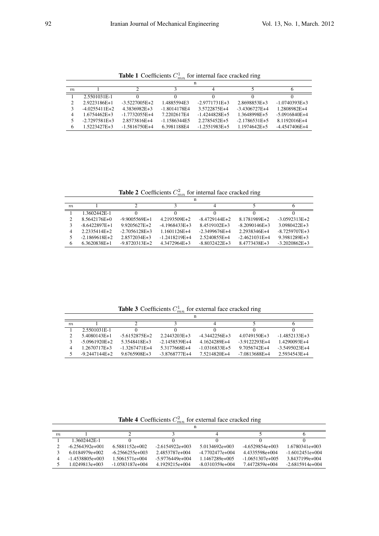**Table 1** Coefficients  $C_{mn}^1$  for internal face cracked ring

| m |                 |                 |                |                 |                 |                 |  |  |  |
|---|-----------------|-----------------|----------------|-----------------|-----------------|-----------------|--|--|--|
|   | 2.5501031E-1    |                 |                |                 |                 |                 |  |  |  |
| 2 | 2.9223186E+1    | $-3.5227005E+2$ | 1.4885594E3    | $-2.9771731E+3$ | 2.8698853E+3    | $-1.0740393E+3$ |  |  |  |
|   | $-4.0255411E+2$ | 4.3836982E+3    | -1.8014178E4   | 3.5722875E+4    | $-3.4306727E+4$ | 1.2808982E+4    |  |  |  |
| 4 | 1.6754462E+3    | $-1.7732055E+4$ | 7.2202617F4    | $-1.4244828E+5$ | 1.3648998E+5    | $-5.0916840E+4$ |  |  |  |
|   | $-2.7297581E+3$ | 2.8573816E+4    | $-1.1586344E5$ | 2.2785452E+5    | $-2.1786531E+5$ | 8.1192016E+4    |  |  |  |
| 6 | 1.5223427E+3    | $-1.5816750E+4$ | 6.3981188F4    | $-1.2551983E+5$ | 1.1974642E+5    | $-4.4547406E+4$ |  |  |  |

**Table 2** Coefficients  $C_{mn}^2$  for internal face cracked ring

|                             | n                |                   |                 |                 |                 |                   |  |  |  |
|-----------------------------|------------------|-------------------|-----------------|-----------------|-----------------|-------------------|--|--|--|
| m                           |                  |                   |                 |                 |                 |                   |  |  |  |
|                             | 1.3602442E-1     |                   |                 |                 |                 |                   |  |  |  |
| $\mathcal{D}_{\mathcal{L}}$ | 8.5642176E+0     | $-9.9005569E+1$   | 4.2193509E+2    | $-8.4729144E+2$ | 8.1781989E+2    | $-3.0592313E+2$   |  |  |  |
|                             | $-8.6422897E+1$  | 9.9205627E+2      | $-4.1968433E+3$ | 8.4519102E+3    | $-8.2090146E+3$ | 3.0980422E+3      |  |  |  |
| 4                           | $2.2335414E + 2$ | $-2.7056128E + 3$ | 1.1601126E+4    | $-2.3499676E+4$ | 2.2938346E+4    | $-8.7259707E + 3$ |  |  |  |
|                             | $-2.1869618E+2$  | 2.8572034E+3      | $-1.2418219E+4$ | 2.5240855E+4    | $-2.4621031E+4$ | 9.3981289E+3      |  |  |  |
| 6                           | 6.3620838E+1     | $-9.8720313E+2$   | 4.3472964E+3    | $-8.8032422E+3$ | 8.4773438E+3    | $-3.2020862E+3$   |  |  |  |

**Table 3** Coefficients  $C_{mn}^1$  for external face cracked ring

| m |                   |                 |                 |                 |                 |                 |  |  |
|---|-------------------|-----------------|-----------------|-----------------|-----------------|-----------------|--|--|
|   | 2.5501031E-1      |                 |                 |                 |                 |                 |  |  |
|   | 5.4080143E+1      | $-5.6152875E+2$ | 2.2443203E+3    | $-4.3442256E+3$ | 4.0749150E+3    | $-1.4852133E+3$ |  |  |
|   | $-5.0961920E+2$   | 5.3548418E+3    | $-2.1458539E+4$ | 4.1624289E+4    | $-3.9122293E+4$ | 1.4290093E+4    |  |  |
| 4 | 1.2670717E+3      | $-1.3267471E+4$ | 5.3177668E+4    | $-1.0316833E+5$ | 9.7056742E+4    | $-3.5495023E+4$ |  |  |
|   | $-9.2447144F + 2$ | 9.6765908E+3    | $-3.8768777E+4$ | 7.5214820E+4    | $-7.0813688E+4$ | 2.5934543E+4    |  |  |

**Table 4** Coefficients  $C_{mn}^2$  for external face cracked ring

| m |                   |                   |                   |                   |                   |                   |  |  |  |
|---|-------------------|-------------------|-------------------|-------------------|-------------------|-------------------|--|--|--|
|   | 1.3602442E-1      |                   |                   |                   |                   |                   |  |  |  |
|   | $-6.2564392e+001$ | 6.5881152e+002    | $-2.6154922e+003$ | 5.0134692e+003    | $-4.6529854e+003$ | 1.6780341e+003    |  |  |  |
|   | 6.0184979e+002    | $-6.2566255e+003$ | 2.4853787e+004    | -4.7702477e+004   | 44335598e+004     | $-1.6012451e+004$ |  |  |  |
| 4 | $-1.4538805e+003$ | 1.5061571e+004    | $-5.9776449e+004$ | 1.1467289e+005    | $-1.0651307e+005$ | 3.8437199e+004    |  |  |  |
|   | 1.0249813e+003    | $-1.0583187e+004$ | 4.1929215e+004    | $-8.0310359e+004$ | 7.4472859e+004    | $-2.6815914e+004$ |  |  |  |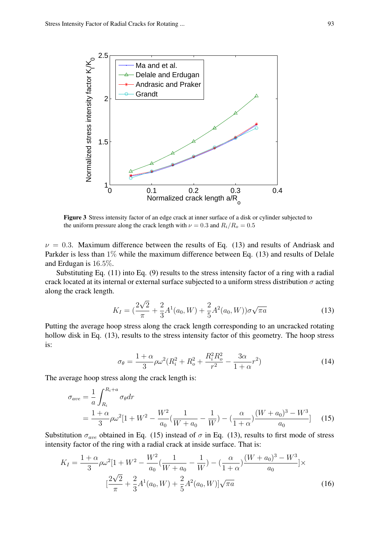

Figure 3 Stress intensity factor of an edge crack at inner surface of a disk or cylinder subjected to the uniform pressure along the crack length with  $\nu = 0.3$  and  $R_i/R_o = 0.5$ 

 $\nu = 0.3$ . Maximum difference between the results of Eq. (13) and results of Andriask and Parkder is less than  $1\%$  while the maximum difference between Eq. (13) and results of Delale and Erdugan is 16*.*5%.

Substituting Eq. (11) into Eq. (9) results to the stress intensity factor of a ring with a radial crack located at its internal or external surface subjected to a uniform stress distribution  $\sigma$  acting along the crack length.

$$
K_I = \left(\frac{2\sqrt{2}}{\pi} + \frac{2}{3}A^1(a_0, W) + \frac{2}{5}A^2(a_0, W)\right)\sigma\sqrt{\pi a}
$$
\n(13)

Putting the average hoop stress along the crack length corresponding to an uncracked rotating hollow disk in Eq. (13), results to the stress intensity factor of this geometry. The hoop stress is:

$$
\sigma_{\theta} = \frac{1+\alpha}{3}\rho\omega^2(R_i^2 + R_o^2 + \frac{R_i^2 R_o^2}{r^2} - \frac{3\alpha}{1+\alpha}r^2)
$$
(14)

The average hoop stress along the crack length is:

$$
\sigma_{ave} = \frac{1}{a} \int_{R_i}^{R_i + a} \sigma_{\theta} dr
$$
  
=  $\frac{1 + \alpha}{3} \rho \omega^2 [1 + W^2 - \frac{W^2}{a_0} (\frac{1}{W + a_0} - \frac{1}{W}) - (\frac{\alpha}{1 + \alpha}) \frac{(W + a_0)^3 - W^3}{a_0}]$  (15)

Substitution  $\sigma_{ave}$  obtained in Eq. (15) instead of  $\sigma$  in Eq. (13), results to first mode of stress intensity factor of the ring with a radial crack at inside surface. That is:

$$
K_{I} = \frac{1+\alpha}{3}\rho\omega^{2}[1+W^{2}-\frac{W^{2}}{a_{0}}(\frac{1}{W+a_{0}}-\frac{1}{W})-(\frac{\alpha}{1+\alpha})(\frac{(W+a_{0})^{3}-W^{3}}{a_{0}}]\times
$$

$$
[\frac{2\sqrt{2}}{\pi}+\frac{2}{3}A^{1}(a_{0},W)+\frac{2}{5}A^{2}(a_{0},W)]\sqrt{\pi a}
$$
(16)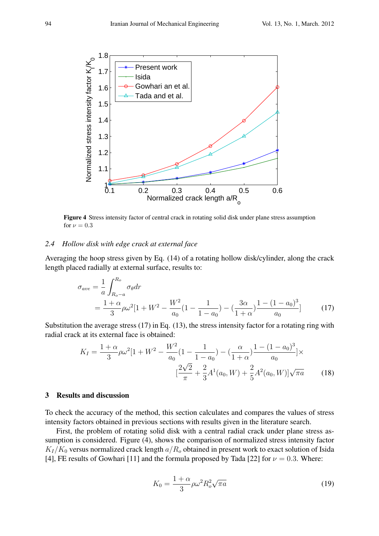

Figure 4 Stress intensity factor of central crack in rotating solid disk under plane stress assumption for  $\nu = 0.3$ 

#### *2.4 Hollow disk with edge crack at external face*

Averaging the hoop stress given by Eq. (14) of a rotating hollow disk/cylinder, along the crack length placed radially at external surface, results to:

$$
\sigma_{ave} = \frac{1}{a} \int_{R_{o}-a}^{R_{o}} \sigma_{\theta} dr
$$
  
=  $\frac{1+\alpha}{3} \rho \omega^{2} [1 + W^{2} - \frac{W^{2}}{a_{0}} (1 - \frac{1}{1-a_{0}}) - (\frac{3\alpha}{1+\alpha}) \frac{1 - (1-a_{0})^{3}}{a_{0}}]$  (17)

Substitution the average stress (17) in Eq. (13), the stress intensity factor for a rotating ring with radial crack at its external face is obtained:

$$
K_{I} = \frac{1+\alpha}{3}\rho\omega^{2}[1+W^{2}-\frac{W^{2}}{a_{0}}(1-\frac{1}{1-a_{0}})-(\frac{\alpha}{1+\alpha})\frac{1-(1-a_{0})^{3}}{a_{0}}] \times
$$

$$
[\frac{2\sqrt{2}}{\pi}+\frac{2}{3}A^{1}(a_{0},W)+\frac{2}{5}A^{2}(a_{0},W)]\sqrt{\pi a}
$$
(18)

## 3 Results and discussion

To check the accuracy of the method, this section calculates and compares the values of stress intensity factors obtained in previous sections with results given in the literature search.

First, the problem of rotating solid disk with a central radial crack under plane stress assumption is considered. Figure (4), shows the comparison of normalized stress intensity factor  $K_I/K_0$  versus normalized crack length  $a/R_o$  obtained in present work to exact solution of Isida [4], FE results of Gowhari [11] and the formula proposed by Tada [22] for  $\nu = 0.3$ . Where:

$$
K_0 = \frac{1+\alpha}{3}\rho\omega^2 R_o^2 \sqrt{\pi a} \tag{19}
$$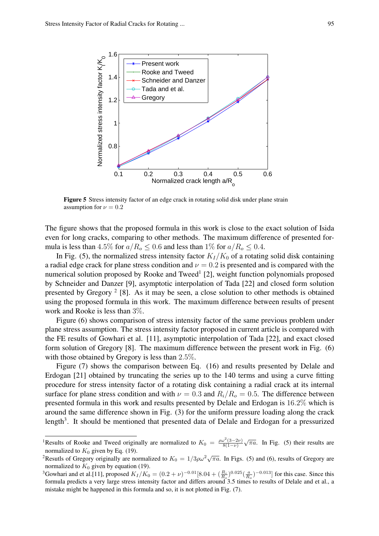

Figure 5 Stress intensity factor of an edge crack in rotating solid disk under plane strain assumption for  $\nu = 0.2$ 

The figure shows that the proposed formula in this work is close to the exact solution of Isida even for long cracks, comparing to other methods. The maximum difference of presented formula is less than 4.5% for  $a/R<sub>o</sub> \le 0.6$  and less than 1% for  $a/R<sub>o</sub> \le 0.4$ .

In Fig. (5), the normalized stress intensity factor  $K_I/K_0$  of a rotating solid disk containing a radial edge crack for plane stress condition and  $\nu = 0.2$  is presented and is compared with the numerical solution proposed by Rooke and Tweed<sup>1</sup> [2], weight function polynomials proposed by Schneider and Danzer [9], asymptotic interpolation of Tada [22] and closed form solution presented by Gregory<sup>2</sup> [8]. As it may be seen, a close solution to other methods is obtained using the proposed formula in this work. The maximum difference between results of present work and Rooke is less than 3%.

Figure (6) shows comparison of stress intensity factor of the same previous problem under plane stress assumption. The stress intensity factor proposed in current article is compared with the FE results of Gowhari et al. [11], asymptotic interpolation of Tada [22], and exact closed form solution of Gregory [8]. The maximum difference between the present work in Fig. (6) with those obtained by Gregory is less than 2*.*5%.

Figure (7) shows the comparison between Eq. (16) and results presented by Delale and Erdogan [21] obtained by truncating the series up to the 140 terms and using a curve fitting procedure for stress intensity factor of a rotating disk containing a radial crack at its internal surface for plane stress condition and with  $\nu = 0.3$  and  $R_i/R_o = 0.5$ . The difference between presented formula in this work and results presented by Delale and Erdogan is 16*.*2% which is around the same difference shown in Fig. (3) for the uniform pressure loading along the crack length<sup>3</sup>. It should be mentioned that presented data of Delale and Erdogan for a pressurized

<sup>&</sup>lt;sup>1</sup>Results of Rooke and Tweed originally are normalized to  $K_0 = \frac{\rho \omega^2 (3-2\nu)}{8(1-\nu)}$ 8(1*−ν*)  $\sqrt{\pi a}$ . In Fig. (5) their results are normalized to  $K_0$  given by Eq. (19).

<sup>2</sup>Resutls of Gregory originally are normalized to  $K_0 = 1/3\rho\omega^2\sqrt{\pi a}$ . In Figs. (5) and (6), results of Gregory are normalized to  $K_0$  given by equation (19).

<sup>&</sup>lt;sup>3</sup>Gowhari and et al.[11], proposed  $K_I/K_0 = (0.2 + \nu)^{-0.01} [8.04 + (\frac{R_i}{R_o})^{0.025} (\frac{a}{R_o})^{-0.013}]$  for this case. Since this formula predicts a very large stress intensity factor and differs around 3.5 times to results of Delale and et al., a mistake might be happened in this formula and so, it is not plotted in Fig. (7).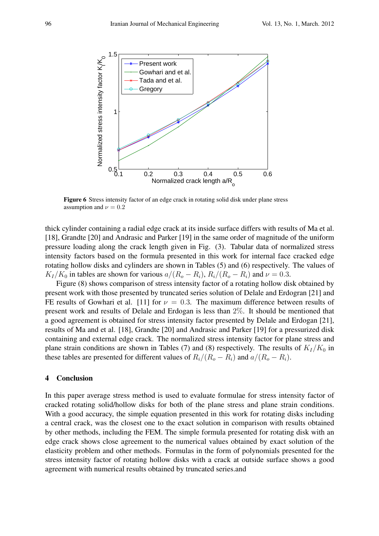

Figure 6 Stress intensity factor of an edge crack in rotating solid disk under plane stress assumption and  $\nu = 0.2$ 

thick cylinder containing a radial edge crack at its inside surface differs with results of Ma et al. [18], Grandte [20] and Andrasic and Parker [19] in the same order of magnitude of the uniform pressure loading along the crack length given in Fig. (3). Tabular data of normalized stress intensity factors based on the formula presented in this work for internal face cracked edge rotating hollow disks and cylinders are shown in Tables (5) and (6) respectively. The values of  $K_I/K_0$  in tables are shown for various  $a/(R_o - R_i)$ ,  $R_i/(R_o - R_i)$  and  $\nu = 0.3$ .

Figure (8) shows comparison of stress intensity factor of a rotating hollow disk obtained by present work with those presented by truncated series solution of Delale and Erdogran [21] and FE results of Gowhari et al. [11] for  $\nu = 0.3$ . The maximum difference between results of present work and results of Delale and Erdogan is less than 2%. It should be mentioned that a good agreement is obtained for stress intensity factor presented by Delale and Erdogan [21], results of Ma and et al. [18], Grandte [20] and Andrasic and Parker [19] for a pressurized disk containing and external edge crack. The normalized stress intensity factor for plane stress and plane strain conditions are shown in Tables (7) and (8) respectively. The results of  $K_I/K_0$  in these tables are presented for different values of  $R_i/(R_o - R_i)$  and  $a/(R_o - R_i)$ .

#### 4 Conclusion

In this paper average stress method is used to evaluate formulae for stress intensity factor of cracked rotating solid/hollow disks for both of the plane stress and plane strain conditions. With a good accuracy, the simple equation presented in this work for rotating disks including a central crack, was the closest one to the exact solution in comparison with results obtained by other methods, including the FEM. The simple formula presented for rotating disk with an edge crack shows close agreement to the numerical values obtained by exact solution of the elasticity problem and other methods. Formulas in the form of polynomials presented for the stress intensity factor of rotating hollow disks with a crack at outside surface shows a good agreement with numerical results obtained by truncated series.and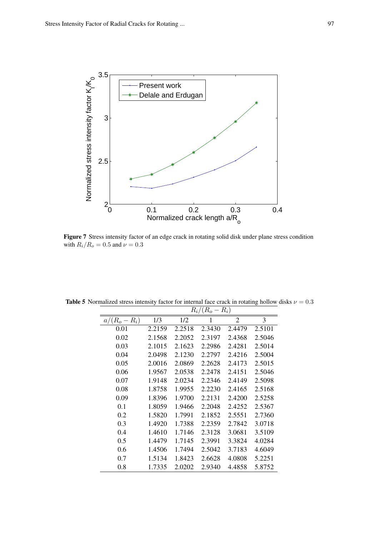

Figure 7 Stress intensity factor of an edge crack in rotating solid disk under plane stress condition with  $R_i/R_o = 0.5$  and  $\nu = 0.3$ 

|               | $R_i/(R_o -$<br>$R_i)$ |        |        |                |        |  |  |
|---------------|------------------------|--------|--------|----------------|--------|--|--|
| $a/(R_o-R_i)$ | 1/3                    | 1/2    | 1      | $\overline{2}$ | 3      |  |  |
| 0.01          | 2.2159                 | 2.2518 | 2.3430 | 2.4479         | 2.5101 |  |  |
| 0.02          | 2.1568                 | 2.2052 | 2.3197 | 2.4368         | 2.5046 |  |  |
| 0.03          | 2.1015                 | 2.1623 | 2.2986 | 2.4281         | 2.5014 |  |  |
| 0.04          | 2.0498                 | 2.1230 | 2.2797 | 2.4216         | 2.5004 |  |  |
| 0.05          | 2.0016                 | 2.0869 | 2.2628 | 2.4173         | 2.5015 |  |  |
| 0.06          | 1.9567                 | 2.0538 | 2.2478 | 2.4151         | 2.5046 |  |  |
| 0.07          | 1.9148                 | 2.0234 | 2.2346 | 2.4149         | 2.5098 |  |  |
| 0.08          | 1.8758                 | 1.9955 | 2.2230 | 2.4165         | 2.5168 |  |  |
| 0.09          | 1.8396                 | 1.9700 | 2.2131 | 2.4200         | 2.5258 |  |  |
| 0.1           | 1.8059                 | 1.9466 | 2.2048 | 2.4252         | 2.5367 |  |  |
| 0.2           | 1.5820                 | 1.7991 | 2.1852 | 2.5551         | 2.7360 |  |  |
| 0.3           | 1.4920                 | 1.7388 | 2.2359 | 2.7842         | 3.0718 |  |  |
| 0.4           | 1.4610                 | 1.7146 | 2.3128 | 3.0681         | 3.5109 |  |  |
| 0.5           | 1.4479                 | 1.7145 | 2.3991 | 3.3824         | 4.0284 |  |  |
| 0.6           | 1.4506                 | 1.7494 | 2.5042 | 3.7183         | 4.6049 |  |  |
| 0.7           | 1.5134                 | 1.8423 | 2.6628 | 4.0808         | 5.2251 |  |  |
| 0.8           | 1.7335                 | 2.0202 | 2.9340 | 4.4858         | 5.8752 |  |  |

Table 5 Normalized stress intensity factor for internal face crack in rotating hollow disks  $\nu = 0.3$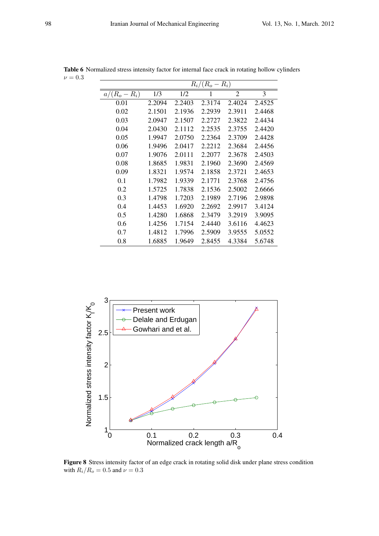|                 | $R_i/(R_o - R_i)$ |        |        |                |        |  |  |  |
|-----------------|-------------------|--------|--------|----------------|--------|--|--|--|
| $a/(R_o - R_i)$ | 1/3               | 1/2    | 1      | $\overline{2}$ | 3      |  |  |  |
| 0.01            | 2.2094            | 2.2403 | 2.3174 | 2.4024         | 2.4525 |  |  |  |
| 0.02            | 2.1501            | 2.1936 | 2.2939 | 2.3911         | 2.4468 |  |  |  |
| 0.03            | 2.0947            | 2.1507 | 2.2727 | 2.3822         | 2.4434 |  |  |  |
| 0.04            | 2.0430            | 2.1112 | 2.2535 | 2.3755         | 2.4420 |  |  |  |
| 0.05            | 1.9947            | 2.0750 | 2.2364 | 2.3709         | 2.4428 |  |  |  |
| 0.06            | 1.9496            | 2.0417 | 2.2212 | 2.3684         | 2.4456 |  |  |  |
| 0.07            | 1.9076            | 2.0111 | 2.2077 | 2.3678         | 2.4503 |  |  |  |
| 0.08            | 1.8685            | 1.9831 | 2.1960 | 2.3690         | 2.4569 |  |  |  |
| 0.09            | 1.8321            | 1.9574 | 2.1858 | 2.3721         | 2.4653 |  |  |  |
| 0.1             | 1.7982            | 1.9339 | 2.1771 | 2.3768         | 2.4756 |  |  |  |
| 0.2             | 1.5725            | 1.7838 | 2.1536 | 2.5002         | 2.6666 |  |  |  |
| 0.3             | 1.4798            | 1.7203 | 2.1989 | 2.7196         | 2.9898 |  |  |  |

0.4 1.4453 1.6920 2.2692 2.9917 3.4124 0.5 1.4280 1.6868 2.3479 3.2919 3.9095 0.6 1.4256 1.7154 2.4440 3.6116 4.4623 0.7 1.4812 1.7996 2.5909 3.9555 5.0552 0.8 1.6885 1.9649 2.8455 4.3384 5.6748

Table 6 Normalized stress intensity factor for internal face crack in rotating hollow cylinders  $\nu = 0.3$ 



Figure 8 Stress intensity factor of an edge crack in rotating solid disk under plane stress condition with  $R_i/R_o = 0.5$  and  $\nu = 0.3$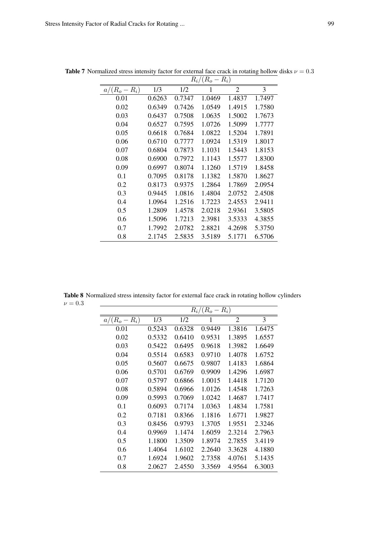|                 | $R_i/(R_o - R_i)$ |        |        |                |        |  |  |
|-----------------|-------------------|--------|--------|----------------|--------|--|--|
| $a/(R_o - R_i)$ | 1/3               | 1/2    | 1      | $\overline{2}$ | 3      |  |  |
| 0.01            | 0.6263            | 0.7347 | 1.0469 | 1.4837         | 1.7497 |  |  |
| 0.02            | 0.6349            | 0.7426 | 1.0549 | 1.4915         | 1.7580 |  |  |
| 0.03            | 0.6437            | 0.7508 | 1.0635 | 1.5002         | 1.7673 |  |  |
| 0.04            | 0.6527            | 0.7595 | 1.0726 | 1.5099         | 1.7777 |  |  |
| 0.05            | 0.6618            | 0.7684 | 1.0822 | 1.5204         | 1.7891 |  |  |
| 0.06            | 0.6710            | 0.7777 | 1.0924 | 1.5319         | 1.8017 |  |  |
| 0.07            | 0.6804            | 0.7873 | 1.1031 | 1.5443         | 1.8153 |  |  |
| 0.08            | 0.6900            | 0.7972 | 1.1143 | 1.5577         | 1.8300 |  |  |
| 0.09            | 0.6997            | 0.8074 | 1.1260 | 1.5719         | 1.8458 |  |  |
| 0.1             | 0.7095            | 0.8178 | 1.1382 | 1.5870         | 1.8627 |  |  |
| 0.2             | 0.8173            | 0.9375 | 1.2864 | 1.7869         | 2.0954 |  |  |
| 0.3             | 0.9445            | 1.0816 | 1.4804 | 2.0752         | 2.4508 |  |  |
| 0.4             | 1.0964            | 1.2516 | 1.7223 | 2.4553         | 2.9411 |  |  |
| 0.5             | 1.2809            | 1.4578 | 2.0218 | 2.9361         | 3.5805 |  |  |
| 0.6             | 1.5096            | 1.7213 | 2.3981 | 3.5333         | 4.3855 |  |  |
| 0.7             | 1.7992            | 2.0782 | 2.8821 | 4.2698         | 5.3750 |  |  |
| 0.8             | 2.1745            | 2.5835 | 3.5189 | 5.1771         | 6.5706 |  |  |

Table 7 Normalized stress intensity factor for external face crack in rotating hollow disks  $\nu = 0.3$ 

Table 8 Normalized stress intensity factor for external face crack in rotating hollow cylinders  $\nu = 0.3$ 

|                 | $R_i/(R_o -$<br>$R_i)$ |        |        |                |        |  |  |
|-----------------|------------------------|--------|--------|----------------|--------|--|--|
| $a/(R_o - R_i)$ | 1/3                    | 1/2    | 1      | $\overline{2}$ | 3      |  |  |
| 0.01            | 0.5243                 | 0.6328 | 0.9449 | 1.3816         | 1.6475 |  |  |
| 0.02            | 0.5332                 | 0.6410 | 0.9531 | 1.3895         | 1.6557 |  |  |
| 0.03            | 0.5422                 | 0.6495 | 0.9618 | 1.3982         | 1.6649 |  |  |
| 0.04            | 0.5514                 | 0.6583 | 0.9710 | 1.4078         | 1.6752 |  |  |
| 0.05            | 0.5607                 | 0.6675 | 0.9807 | 1.4183         | 1.6864 |  |  |
| 0.06            | 0.5701                 | 0.6769 | 0.9909 | 1.4296         | 1.6987 |  |  |
| 0.07            | 0.5797                 | 0.6866 | 1.0015 | 1.4418         | 1.7120 |  |  |
| 0.08            | 0.5894                 | 0.6966 | 1.0126 | 1.4548         | 1.7263 |  |  |
| 0.09            | 0.5993                 | 0.7069 | 1.0242 | 1.4687         | 1.7417 |  |  |
| 0.1             | 0.6093                 | 0.7174 | 1.0363 | 1.4834         | 1.7581 |  |  |
| 0.2             | 0.7181                 | 0.8366 | 1.1816 | 1.6771         | 1.9827 |  |  |
| 0.3             | 0.8456                 | 0.9793 | 1.3705 | 1.9551         | 2.3246 |  |  |
| 0.4             | 0.9969                 | 1.1474 | 1.6059 | 2.3214         | 2.7963 |  |  |
| 0.5             | 1.1800                 | 1.3509 | 1.8974 | 2.7855         | 3.4119 |  |  |
| 0.6             | 1.4064                 | 1.6102 | 2.2640 | 3.3628         | 4.1880 |  |  |
| 0.7             | 1.6924                 | 1.9602 | 2.7358 | 4.0761         | 5.1435 |  |  |
| 0.8             | 2.0627                 | 2.4550 | 3.3569 | 4.9564         | 6.3003 |  |  |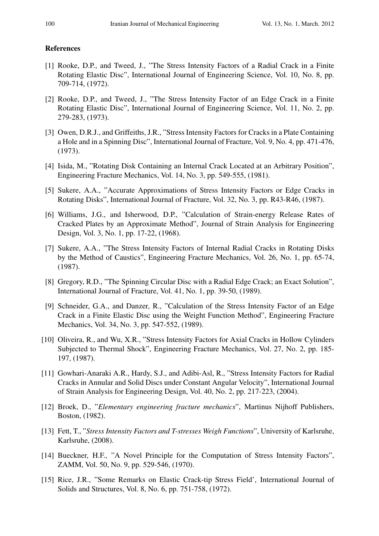### References

- [1] Rooke, D.P., and Tweed, J., "The Stress Intensity Factors of a Radial Crack in a Finite Rotating Elastic Disc", International Journal of Engineering Science, Vol. 10, No. 8, pp. 709-714, (1972).
- [2] Rooke, D.P., and Tweed, J., "The Stress Intensity Factor of an Edge Crack in a Finite Rotating Elastic Disc", International Journal of Engineering Science, Vol. 11, No. 2, pp. 279-283, (1973).
- [3] Owen, D.R.J., and Griffeiths, J.R., "Stress Intensity Factors for Cracks in a Plate Containing a Hole and in a Spinning Disc", International Journal of Fracture, Vol. 9, No. 4, pp. 471-476, (1973).
- [4] Isida, M., "Rotating Disk Containing an Internal Crack Located at an Arbitrary Position", Engineering Fracture Mechanics, Vol. 14, No. 3, pp. 549-555, (1981).
- [5] Sukere, A.A., "Accurate Approximations of Stress Intensity Factors or Edge Cracks in Rotating Disks", International Journal of Fracture, Vol. 32, No. 3, pp. R43-R46, (1987).
- [6] Williams, J.G., and Isherwood, D.P., "Calculation of Strain-energy Release Rates of Cracked Plates by an Approximate Method", Journal of Strain Analysis for Engineering Design, Vol. 3, No. 1, pp. 17-22, (1968).
- [7] Sukere, A.A., "The Stress Intensity Factors of Internal Radial Cracks in Rotating Disks by the Method of Caustics", Engineering Fracture Mechanics, Vol. 26, No. 1, pp. 65-74, (1987).
- [8] Gregory, R.D., "The Spinning Circular Disc with a Radial Edge Crack; an Exact Solution", International Journal of Fracture, Vol. 41, No. 1, pp. 39-50, (1989).
- [9] Schneider, G.A., and Danzer, R., "Calculation of the Stress Intensity Factor of an Edge Crack in a Finite Elastic Disc using the Weight Function Method", Engineering Fracture Mechanics, Vol. 34, No. 3, pp. 547-552, (1989).
- [10] Oliveira, R., and Wu, X.R., "Stress Intensity Factors for Axial Cracks in Hollow Cylinders Subjected to Thermal Shock", Engineering Fracture Mechanics, Vol. 27, No. 2, pp. 185- 197, (1987).
- [11] Gowhari-Anaraki A.R., Hardy, S.J., and Adibi-Asl, R., "Stress Intensity Factors for Radial Cracks in Annular and Solid Discs under Constant Angular Velocity", International Journal of Strain Analysis for Engineering Design, Vol. 40, No. 2, pp. 217-223, (2004).
- [12] Broek, D., "*Elementary engineering fracture mechanics*", Martinus Nijhoff Publishers, Boston, (1982).
- [13] Fett, T., "*Stress Intensity Factors and T-stresses Weigh Functions*", University of Karlsruhe, Karlsruhe, (2008).
- [14] Bueckner, H.F., "A Novel Principle for the Computation of Stress Intensity Factors", ZAMM, Vol. 50, No. 9, pp. 529-546, (1970).
- [15] Rice, J.R., "Some Remarks on Elastic Crack-tip Stress Field', International Journal of Solids and Structures, Vol. 8, No. 6, pp. 751-758, (1972).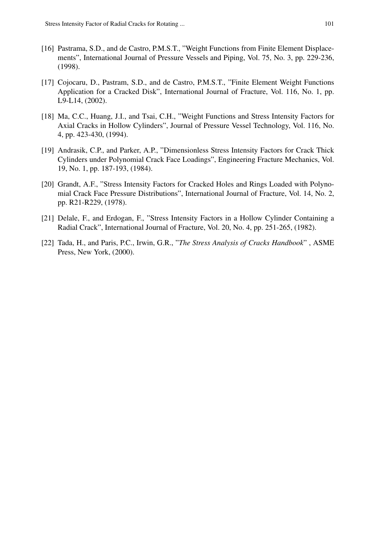- [16] Pastrama, S.D., and de Castro, P.M.S.T., "Weight Functions from Finite Element Displacements", International Journal of Pressure Vessels and Piping, Vol. 75, No. 3, pp. 229-236, (1998).
- [17] Cojocaru, D., Pastram, S.D., and de Castro, P.M.S.T., "Finite Element Weight Functions Application for a Cracked Disk", International Journal of Fracture, Vol. 116, No. 1, pp. L9-L14, (2002).
- [18] Ma, C.C., Huang, J.I., and Tsai, C.H., "Weight Functions and Stress Intensity Factors for Axial Cracks in Hollow Cylinders", Journal of Pressure Vessel Technology, Vol. 116, No. 4, pp. 423-430, (1994).
- [19] Andrasik, C.P., and Parker, A.P., "Dimensionless Stress Intensity Factors for Crack Thick Cylinders under Polynomial Crack Face Loadings", Engineering Fracture Mechanics, Vol. 19, No. 1, pp. 187-193, (1984).
- [20] Grandt, A.F., "Stress Intensity Factors for Cracked Holes and Rings Loaded with Polynomial Crack Face Pressure Distributions", International Journal of Fracture, Vol. 14, No. 2, pp. R21-R229, (1978).
- [21] Delale, F., and Erdogan, F., "Stress Intensity Factors in a Hollow Cylinder Containing a Radial Crack", International Journal of Fracture, Vol. 20, No. 4, pp. 251-265, (1982).
- [22] Tada, H., and Paris, P.C., Irwin, G.R., "*The Stress Analysis of Cracks Handbook*" , ASME Press, New York, (2000).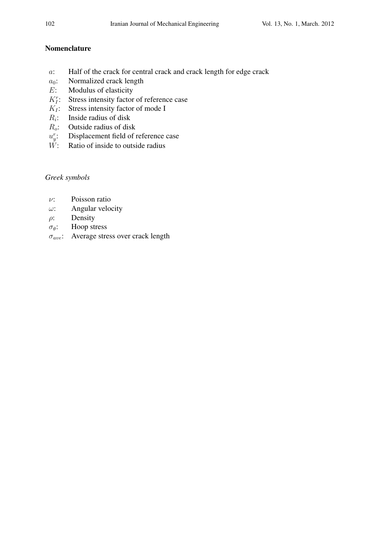## Nomenclature

- *a*: Half of the crack for central crack and crack length for edge crack
- *a*0: Normalized crack length
- *E*: Modulus of elasticity
- $K_I^r$ : Stress intensity factor of reference case
- $K_I$ : Stress intensity factor of mode I
- $R_i$ : : Inside radius of disk
- *Ro*: Outside radius of disk
- *u r y* : Displacement field of reference case
- $\check{W}$ : Ratio of inside to outside radius

# *Greek symbols*

- *ν*: Poisson ratio
- *ω*: Angular velocity
- *ρ*: Density
- *σθ*: Hoop stress
- *σave*: Average stress over crack length